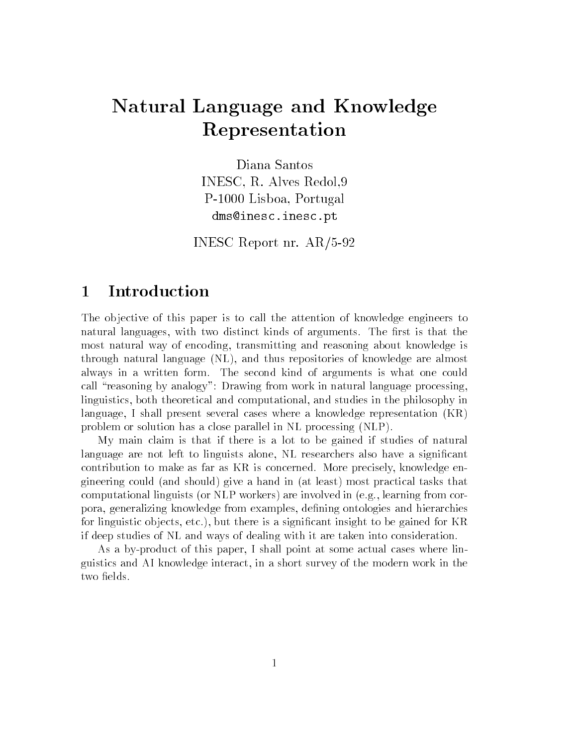# Natural Language and Knowledge Representation

Diana Santos INESC- R Alves Redol-P Lisboa- Portugal dms-inescinescpt

INESC Report nr.  $AR/5-92$ 

#### Introduction  $\mathbf 1$

The objective of this paper is to call the attention of knowledge engineers to natural languages- with two distinct kinds of arguments The rst is that the most natural way of encoding- transmitting and reasoning about knowledge is through natural language NL- and thus repositories of knowledge are almost always in a written form The second kind of arguments is what one could call "reasoning by analogy": Drawing from work in natural language processing, linguistics- both theoretical and computational- and studies in the philosophy in language- I shall present several cases where a knowledge representation KR problem or solution has a close parallel in NL processing (NLP).

My main claim is that if there is a lot to be gained if studies of natural language are not left to linguists alone- NL researchers also have a signicant contribution to make as far as the concerned more precisely-state  $\mathcal{A}$  is the set gineering could (and should) give a hand in (at least) most practical tasks that computational linguists or NLP workers are involved in eg- learning from cor poralizing from examples and hierarchies and hierarchies and his control and his control and his control and h for a significant is a significant insignificant insight to be gained for  $\mathcal{W}$ if deep studies of NL and ways of dealing with it are taken into consideration

As a by product of this paper- I shall point at some actual cases where lin  $\mathcal{U}$ two fields.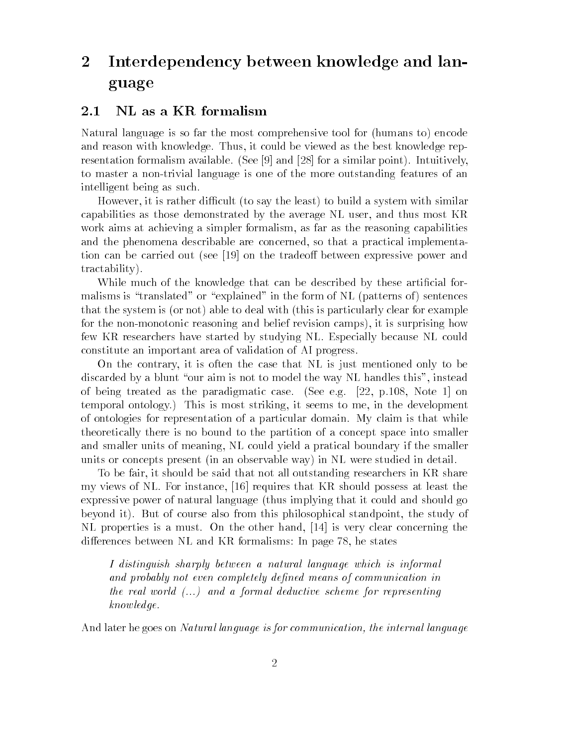### Interdependency between knowledge and lan  $\overline{2}$ guage

#### - - -NL as a KR formalism

Natural language is so far the most comprehensive tool for (humans to) encode and reason with knowledge Thus- it could be viewed as the best knowledge rep resentation formalism available. (See [9] and [28] for a similar point). Intuitively, to master a non trivial language is one of the more outstanding features of an intelligent being as such

However- it is rather dicult to say the least to build a system with similar capabilities as those demonstrated by the average NL user- and thus most KR work and a simpler for  $\lambda$  and  $\lambda$  are the reasoning capabilities of  $\lambda$  as the reasoning capabilities of and the phenomena described are concerned- and a production are production implementation tion can be carried out (see [19] on the tradeoff between expressive power and tractability

While much of the knowledge that can be described by these artificial formalisms is "translated" or "explained" in the form of NL (patterns of) sentences that the system is (or not) able to deal with (this is particularly clear for example for the non monotonic reasoning and belief revision camps- it is surprising how few KR researchers have started by studying NL Especially because NL could constitute an important area of validation of AI progress

On the contrary- it is often the case that the case of  $\mu$  is the case that  $\mu$ discarded by a blunt our aimst the way the way handles the way the way need the way number of the state of th  $\mathcal{N}$  being the paradigmatic case  $\mathcal{N}$  - as the paradigmatic case See eggs  $\mathcal{N}$ temporal ontology This is most striking- it seems to me- in the development of ontologies for representation of a particular domain My claim is that while theoretically there is no bound to the partition of a concept space into smaller and smaller units of meaning-dimensional boundary if the smaller  $\mathbb{P}$ units or concepts present (in an observable way) in NL were studied in detail.

To be fair-dimensional behavior  $\mathcal{W}$ my views in the that the instance possess that the state who have been the that the the expressive power of natural language (thus implying that it could and should go beyond it But of course also from this philosophical standpoint- the study of NL properties is a must On the other hand-  is very clear concerning the diere states between the state of the statement of page . It as the state

I distinguish sharply between a natural language which is informal and probably not even completely deputed means of communications are an the real world  $(...)$  and a formal deductive scheme for representing know ledge

And later he goes on Natural language is for communication, the internal language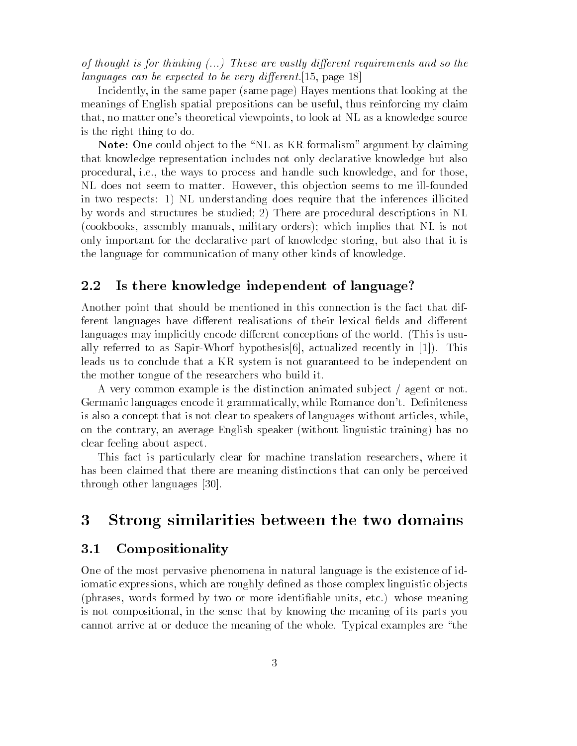of thought is for thinking  $(...)$  These are vastly different requirements and so the languages can be expected to be very dierent- page

 $\mathbf{I}$  in the same page Hayes mentions that looking at the same page Hayes mentions that looking at the same page  $\mathbf{I}$ meanings of English spatial prepositions can be useful- thus reinforcing my claim that- no matter ones theoretical viewpoints- to look at NL as a knowledge source is the right thing to do

Note- One could ob ject to the NL as KR formalism argument by claiming that knowledge representation includes not only declarative knowledge but also ie-contract to process and handle such knowledge-to-process and for the ways to process and for the  $\mathfrak{g}_1$ n does not seem to matter However-Line is ob jection seems to me illustration seems to in two respects: 1) NL understanding does require that the inferences illicited by words and structures be studied; 2) There are procedural descriptions in  $NL$ , as seen blower manuals-communications, executively colorated process which is not as as the second only important for the declarative part of knowledge storing- but also that it is the language for communication of many other kinds of knowledge

#### - - -Is there knowledge independent of language

Another point that should be mentioned in this connection is the fact that dif ferent languages have different realisations of their lexical fields and different languages may implicitly encode different conceptions of the world. (This is usually referred to as Sapirol in the same  $\mu$  as Sapirol in the same  $\mu$  and  $\mu$ leads us to conclude that a KR system is not guaranteed to be independent on the mother tongue of the researchers who build it

A very common example is the distinction animated subject  $\ell$  agent or not. germanic manguages encode it grammatically-connected encourages in the connected and is also a concept that is not concept that is not concept that is not concept that is not concept that is not concept that is not concept to speakers with  $\alpha$ on the contrary- an average English speaker without linguistic training has no clear feeling about aspect

This fact is particularly clear for machine translation researchers- where it has been claimed that there are meaning distinctions that can only be perceived through other languages [30].

## Strong similarities between the two domains

### Compositionality

One of the most pervasive phenomena in natural language is the existence of id iomatic expressions- which are roughly dened as those complex linguistic ob jects phrases- words formed by two or more identiable units- etc whose meaning is that composition and the sense that  $\alpha$   $\mu$  and  $\alpha$  its parts  $\alpha$  is parts  $\mu$  its  $\alpha$ cannot arrive at or deduce the meaning of the whole. Typical examples are "the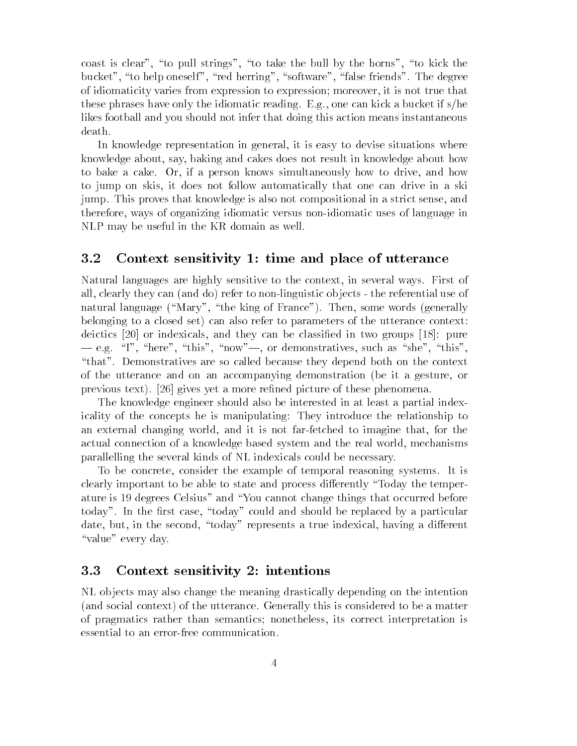coast is coast is to pull strings- is the third company of the bull by the string the bull by the string of th bucket- to help oneself- red herring- software- false friends The degree of idiomaticity varies from expression to expression moreover- it is not true that these phrases have only the idiomatic reading Eg- one can kick a bucket if she likes football and you should not infer that doing this action means instantaneous death

In knowledge representation in general- it is easy to devise situations where knowledge about- say- baking and cakes does not result in knowledge about how to bake a cake Or- if a person knows simultaneously how to drive- and how to jumper on skis- it does not follow askies and cannot in a skill that one can drive in a skill jump This proves that knowledge is also not compositional in a strict sense- and therefore- ways of organizing idiomatic versus non idiomatic uses of language in NLP may be useful in the KR domain as well

#### - - - -Context sensitivity 1: time and place of utterance

Natural languages are highly sensitive to the context- in several ways First of all-there is the reference of  $\mu$  and the referential use of  $\mu$  is the referential use of  $\mu$ natural language Mary- the king of France Then- some words generally belonging to a closed set) can also refer to parameters of the utterance context: definition and the contractions of the contract in the contract of  $\Delta$  and  $\Delta$  pure  $\mu$  and  $\mu$ eg I-menster - this-contrative - this-contract - this-contract - this-contract - this-contract - this-contract - this-contract - this-contract - this-contract - this-contract - this-contract - this-contract - this-contract "that". Demonstratives are so called because they depend both on the context of the utterance and on an accompanying demonstration be it a gesture- or previous text). [26] gives yet a more refined picture of these phenomena.

The knowledge engineer should also be interested in at least a partial index icality of the concepts he is manipulating: They introduce the relationship to an external changing world- and it is not far fetched to imagine that- for the actual connection of a knowledge based system and the real world-based system and the real worldparallelling the several kinds of NL indexicals could be necessary

To be concrete- consider the example of temporal reasoning systems It is clearly important to be able to state and process differently "Today the temperature is 19 degrees Celsius" and "You cannot change things that occurred before today In the rst case- today could and should be replaced by a particular date- but- in the second- today represents a true indexical- having a dierent "value" every day.

#### -Context sensitivity 2: intentions

NL ob jects may also change the meaning drastically depending on the intention (and social context) of the utterance. Generally this is considered to be a matter of pragmatics rather than semantics nonetheless- its correct interpretation is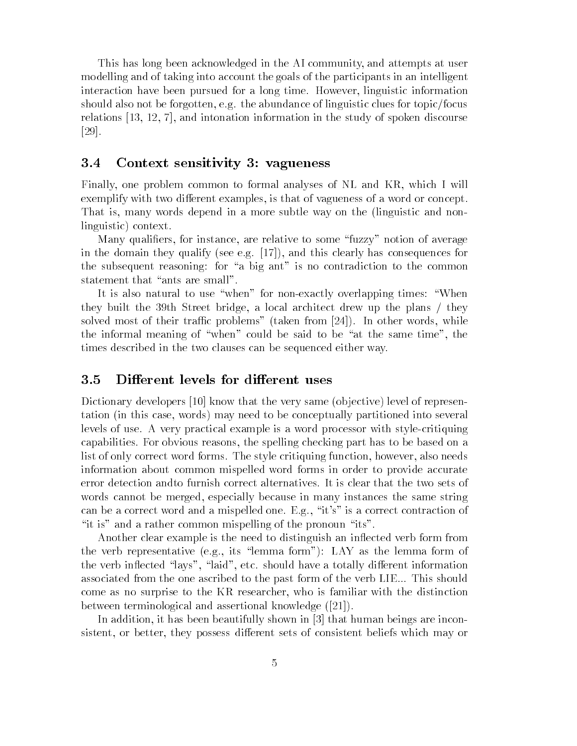This has long been acknowledged in the AI community- and attempts at user modelling and of taking into account the goals of the participants in an intelligent interaction have been pursued for a long time However- $\mathbf{A}$ should also not be forgotten, ignored and the abundance of linguistic clues for  $\alpha$  and  $\alpha$ relations - - - and intonation information in the study of spoken discourse  $|29|$ .

#### - - -Context sensitivity 3: vagueness

Finally- one problem common to formal analyses of NL and KR- which I will exemplare with two distributions of variously and the various of a word of a word of  $\alpha$ That is- many words depend in a more subtle way on the linguistic and non linguistic) context.

Many qualiers- for instance- are relative to some fuzzy notion of average in the domain they qualify see eg - and this clearly has consequences for the subsequent reasoning: for "a big ant" is no contradiction to the common statement that "ants are small".

It is also natural to use when for non exactly overlapping times When they built the 
th Street bridge- a local architect drew up the plans they solved most of their trackets problems taken from 1991, the clients words- wordsthe informal meaning of when could be said to be at the same time- the times described in the two clauses can be sequenced either way

#### -Different levels for different uses

Dictionary developers  $\vert 10 \vert$  know that the very same (objective) level of representation in this case-conceptually partition in the conceptual partition into several partition in the conceptual levels of use A very practical example is a word processor with style critiquing capabilities For obvious reasons-based on a particle part has to part has to be based on a part has to list of only correct word forms The style critiquing function- however- also needs information about common mispelled word forms in order to provide accurate error detection andto furnish correct alternatives It is clear that the two sets of words cannot be merged-because in many instances the same string instances the same string instances the same string in can be a correct word and a mispelled one Egypt at a modern contraction of the Egypt "it is" and a rather common mispelling of the pronoun "its".

Another clear example is the need to distinguish an inflected verb form from the verb representative equations representative process in the representative of the verb inductive angle is then i field have and the collections, and the theoretically disconstructions of associated from the one ascribed to the past form of the verb LIE... This should come as no surprise to the KR researchers with the Monday with the the distinction of between terminological and assertional knowledge  $([21])$ .

In addition-dition-dition-dition-disk and the shown in the shown in the shown in  $\mathbf{I}$ sistent-possessiert-better- possesse dierent sets die regioner worden versierte beliefs word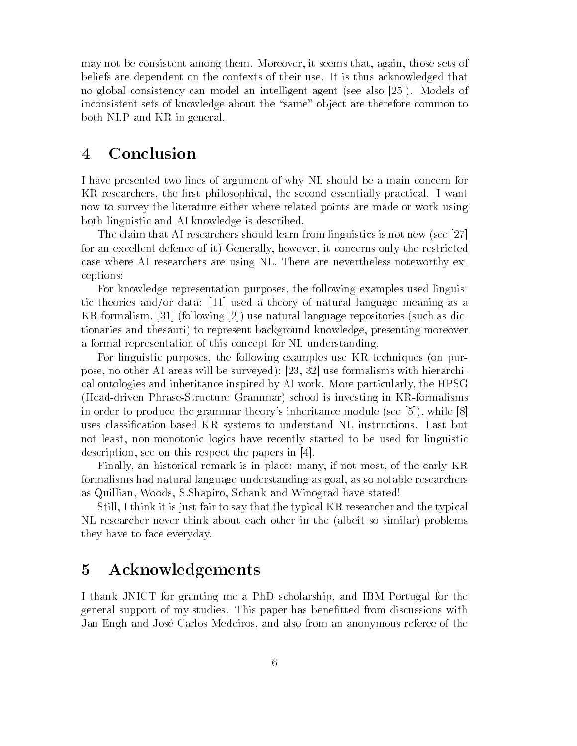may not be consistent among them Moreover- it seems that- again- those sets of beliefs are dependent on the contexts of their use It is thus acknowledged that no global consistency can model an intelligent agent (see also  $[25]$ ). Models of inconsistent sets of knowledge about the "same" object are therefore common to both NLP and KR in general

#### Conclusion  $\overline{4}$

I have presented two lines of argument of why NL should be a main concern for KR researchers- the rst philosophical- the second essentially practical I want now to survey the literature either where related points are made or work using both linguistic and AI knowledge is described

The claim that AI researchers should learn from linguistics is not new (see  $[27]$ ) for an excellent defence of it Generally-independent defence of  $\alpha$ case where AI researchers are using NL There are nevertheless noteworthy ex ceptions 

For knowledge representation purposes- the following examples used linguis tic theories and/or data:  $[11]$  used a theory of natural language meaning as a  $f(x) = f(x) + f(x)$  and  $f(x) = f(x) + f(x)$  as different repositories such as different repositories such as different repositories such as different repositories such as different repositories and  $f(x) = f(x) + f(x)$  and  $f(x) = f(x) + f(x)$  and tionaries and thesauri to represent background knowledge- presenting moreover a formal representation of this concept for NL understanding

For linguistic purposes- the following examples use KR techniques on pur  $\mathbf{1}$  are assumed to the surveyed at  $\mathbf{1}$  are assumed to the surveyed of  $\mathbf{1}$ cal ontologies and interesting called by AI work More particularly-state in the More particularly and the HPSG Head driven Phrase Structure Grammar school is investing in KR formalisms in order to produce the grammark theory conducts indicated module (cost) ( ) while ( ) ) uses classication based KR systems to understand NL instructions Last but not least- non monotonic logics have recently started to be used for linguistic description-between the papers in the papers in the papers in the papers in the papers in the papers in the papers in

Finally- an historical remark is in place many- if not most- of the early KR formalisms had natural language understanding as goal- as so notable researchers as quilliance and windows and windows and windows and windows and windows and windows and windows and windows

still-the think it is just fair to say that the typical Kress fair that the two typical C NL researcher never think about each other in the (albeit so similar) problems they have to face everyday

## Acknowledgements

In that  $\mathcal{M}$  is granting measurements of the PhD scholarship-border  $\mathcal{M}$ general support of my studies This paper has benetted from discussions with Jan Engh and Jose Carlos Medeiros- and also from an anonymous referee of the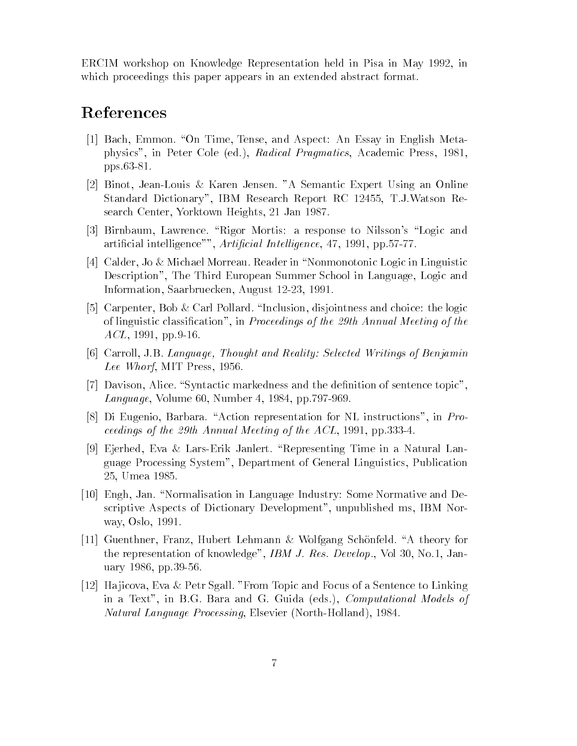ercime work in France Part in May 2016, which is a fine in May 2016, which is a set of the set of the set of t which proceedings this paper appears in an extended abstract format.

# References

- , and and assessment in the station of the station and provided and and Aspector and the station physics- in Peter Cole ed- Radical Pragmatics- Academic Press- 
pper contract to the contract of the contract of the contract of the contract of the contract of the contract of the contract of the contract of the contract of the contract of the contract of the contract of the contract
- Binot- Jean Louis Karen Jensen A Semantic Expert Using an Online standard Pittionary-, the processed and the part of the provision of the contract  $\sim$ search Center-Center-Center-Center-Center-Center-Center-Center-Center-Center-Center-Center-Center-Center-Cente
- is a response to the rigor mortism and the rigor and the rigor and the state of the state of the state of the s article intelligence-intelligence-intelligence-intelligence-intelligence-intelligence-intelligence-intelligenc
- Calder- Jo Michael Morreau Reader in Nonmonotonic Logic in Linguistic Description- The Third European Summer School in Language- Logic and Information- Saarbruecken- August -
- Carpenter- Bob Carl Pollard Inclusion- disjointness and choice the logic of the process classication in Proceedings of the control meeting of the  $\mathcal{A}$ access the contract of the contract of the contract of the contract of the contract of the contract of the contract of the contract of the contract of the contract of the contract of the contract of the contract of the con
- Carroll- JB Language Thought and Reality Selected Writings of Benjamin Lee Whorf- MIT Press-
- Davison- Alice Syntactic markedness and the denition of sentence topicand the set of the set of the set of the set of the set of the set of the set of the set of the set of the set
- , a representation representation for the contraction of  $\mathbf{r}_1$  is a representation for  $\mathbf{r}_1$  . ceedings of the th Annual Meeting of the ACL- 

- pp
- Ejerhed- Eva Lars Erik Janlert Representing Time in a Natural Lan guage Processing Systems (Polyneinistics-Systems-Programmine) Processings-- Umea de la Caractería de la Caractería de la Caractería de la Caractería de la Caractería de la Caractería d
- Engh- Jan Normalisation in Language Industry Some Normative and De scriptive Aspects of Dictionary Development-Development-Development-Development-Development-Development-Develo way- Oslo-
- is a france-from the community of the community of the control of the control and the control of the control o the representation of knowledge-be-controlledge-be-controlledge-be-controlledge-be-controlledge-be-controlledgeuary 
- pp
- Ha jicova- Eva Petr Sgall From Topic and Focus of a Sentence to Linking in a Text- in BG Bara and G Guida eds- Computational Models of Natural Language Processing- Elsevier North Holland-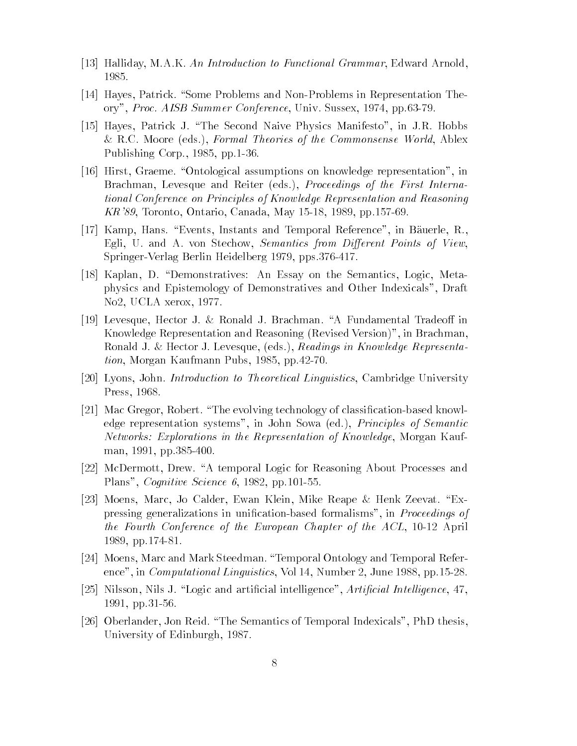- , a is a community that is easily a function to function to a controller and mathematic arrangements of the co 1985.
- Hayes- Patrick Some Problems and Non Problems in Representation The ory-bend and all the conference-organisation of the conference-organisation of the conference-organisation of the conference-organisation of the conference-organisation of the conference of the conference organisation of t
- is-i patrick J The Second Naive Physics And Animatic Manifesto- In June 1999, In June 1999, In June 1999, In J RC Moore eds- Formal Theories of the Commonsense World- Ablex recovered to the corporation of the corporation of the corporation of the corporation of the corporation of the corporation of the corporation of the corporation of the corporation of the corporation of the corporation of
- Hirst- Graeme Ontological assumptions on knowledge representation- in Brachman- Levesque and Reiter eds- Proceedings of the First Interna tional Conference on Principles of Know ledge Representation and Reasoning reconcerns to the contract of the contract of the contract of the contract of the contract of the contract of the contract of the contract of the contract of the contract of the contract of the contract of the contract of
- Kamp- Hans Events- Instants and Temporal Reference- in B!auerle- R-Egli- U and A von Stechow- Semantics from Dierent Points of View-Springer Verlag Berlin Heidelberg 

- pps
- Kaplan- D Demonstratives An Essay on the Semantics- Logic- Meta physics and Epistemology of Demonstratives and Other Indexicals- Draft No- UCLA xerox-
- Levesque- Hector J Ronald J Brachman A Fundamental Tradeo in Knowledge Representation and Reasoning Revised Version- in Brachman-Ronald J Hector J Levesque- eds- Readings in Knowledge Representa tion- Morgan Kaufmann Pubs- 
- pp
- Lyons- John Introduction to Theoretical Linguistics- Cambridge University Press-
- Mac Gregor- Robert The evolving technology of classication based knowl edge representation systems- in John Sowa ed- Principles of Semantic Networks Explorations in the Representation of Know ledge- Morgan Kauf man- 

- pp
- matermotors and Drew A temporal Logic for About Processes and About Processes and About Processes and About Pro recognition of the second complete state of the second control of the second control of the second control of t
- , and the compact the context of the context context context is the context of the context of the context of the pressing generalizations in unication based formalisms- in Proceedings of the Fourth Conference of the European Chapter of the ACL- April - pp
- , and was and mark steedman Temporal Reference and Temporal References and Temporal References ence-in and we compute the computation of the computation of the computation of the computation of the computation
- is in a constant article in the constant international international international international international - pp
- Oberlander- Jon Reid The Semantics of Temporal Indexicals- PhD thesis-University of Edinburgh-University of the University of Edinburgh-University of Edinburgh-University of Edinburgh-